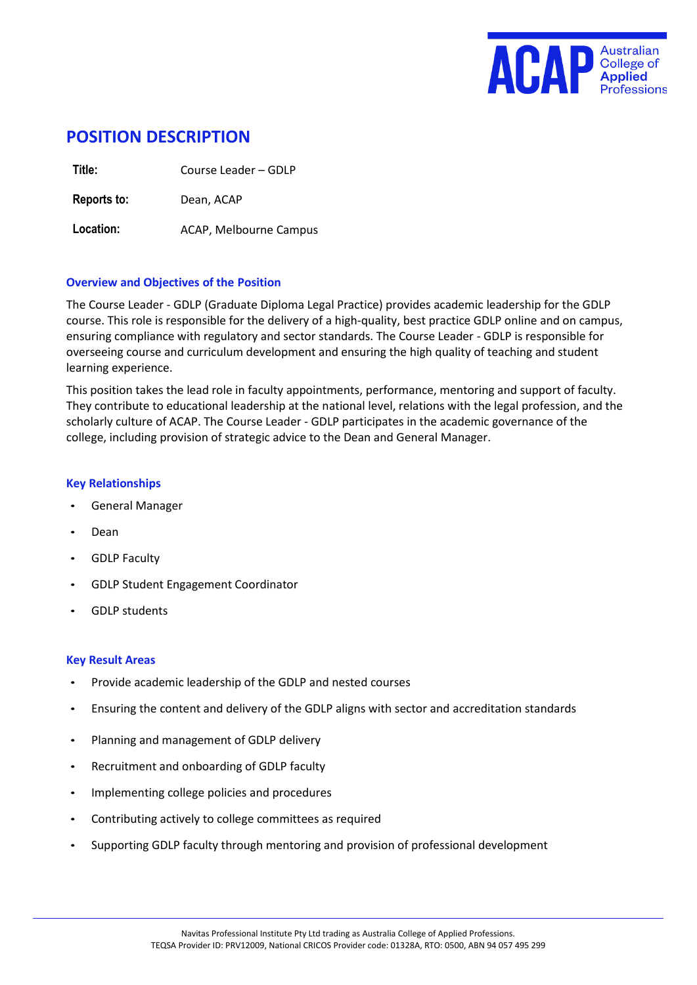

# **POSITION DESCRIPTION**

**Title:** Course Leader – GDLP

**Reports to:** Dean, ACAP

Location: **ACAP, Melbourne Campus** 

#### **Overview and Objectives of the Position**

The Course Leader - GDLP (Graduate Diploma Legal Practice) provides academic leadership for the GDLP course. This role is responsible for the delivery of a high-quality, best practice GDLP online and on campus, ensuring compliance with regulatory and sector standards. The Course Leader - GDLP is responsible for overseeing course and curriculum development and ensuring the high quality of teaching and student learning experience.

This position takes the lead role in faculty appointments, performance, mentoring and support of faculty. They contribute to educational leadership at the national level, relations with the legal profession, and the scholarly culture of ACAP. The Course Leader - GDLP participates in the academic governance of the college, including provision of strategic advice to the Dean and General Manager.

#### **Key Relationships**

- General Manager
- Dean
- GDLP Faculty
- GDLP Student Engagement Coordinator
- GDLP students

#### **Key Result Areas**

- Provide academic leadership of the GDLP and nested courses
- Ensuring the content and delivery of the GDLP aligns with sector and accreditation standards
- Planning and management of GDLP delivery
- Recruitment and onboarding of GDLP faculty
- Implementing college policies and procedures
- Contributing actively to college committees as required
- Supporting GDLP faculty through mentoring and provision of professional development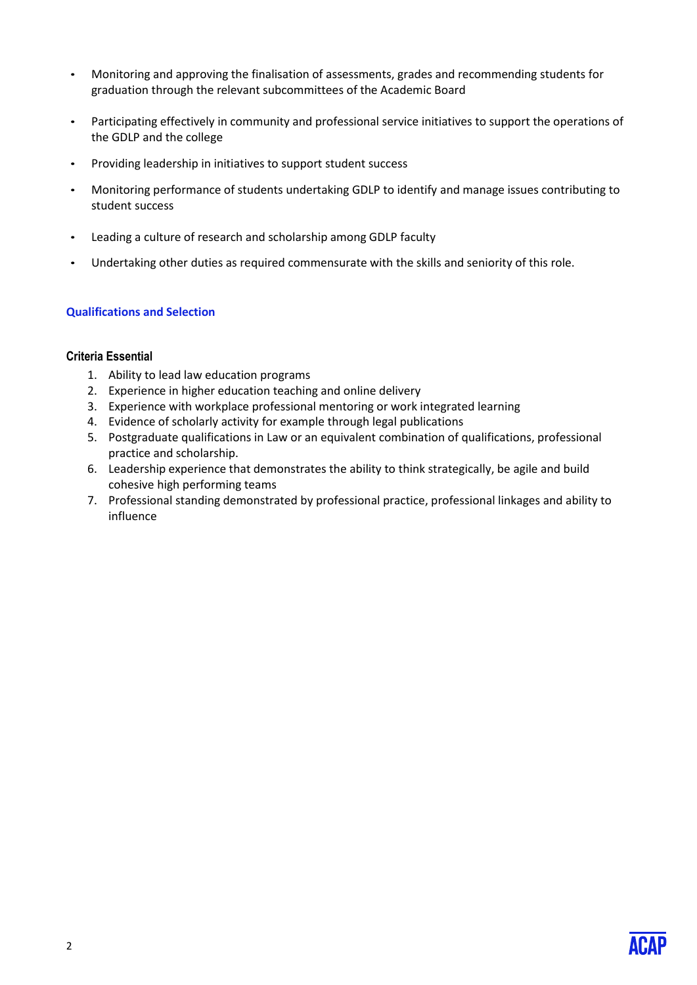- Monitoring and approving the finalisation of assessments, grades and recommending students for graduation through the relevant subcommittees of the Academic Board
- Participating effectively in community and professional service initiatives to support the operations of the GDLP and the college
- Providing leadership in initiatives to support student success
- Monitoring performance of students undertaking GDLP to identify and manage issues contributing to student success
- Leading a culture of research and scholarship among GDLP faculty
- Undertaking other duties as required commensurate with the skills and seniority of this role.

#### **Qualifications and Selection**

#### **Criteria Essential**

- 1. Ability to lead law education programs
- 2. Experience in higher education teaching and online delivery
- 3. Experience with workplace professional mentoring or work integrated learning
- 4. Evidence of scholarly activity for example through legal publications
- 5. Postgraduate qualifications in Law or an equivalent combination of qualifications, professional practice and scholarship.
- 6. Leadership experience that demonstrates the ability to think strategically, be agile and build cohesive high performing teams
- 7. Professional standing demonstrated by professional practice, professional linkages and ability to influence